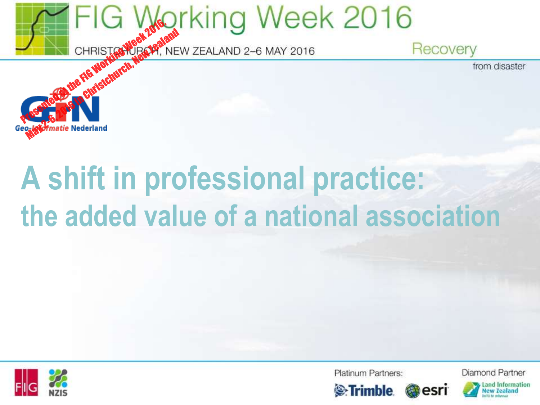



Platinum Partners:



esri

Diamond Partner

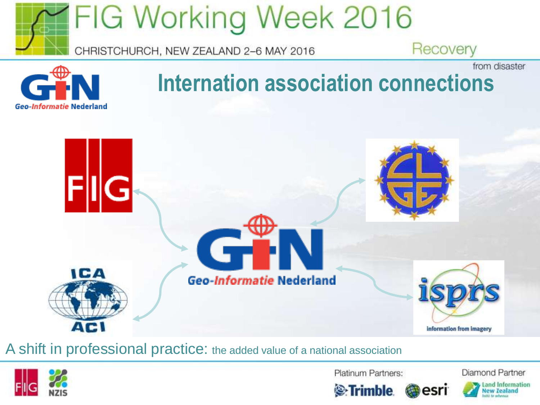



### **Internation association connections**



A shift in professional practice: the added value of a national association



Platinum Partners:

Diamond Partner



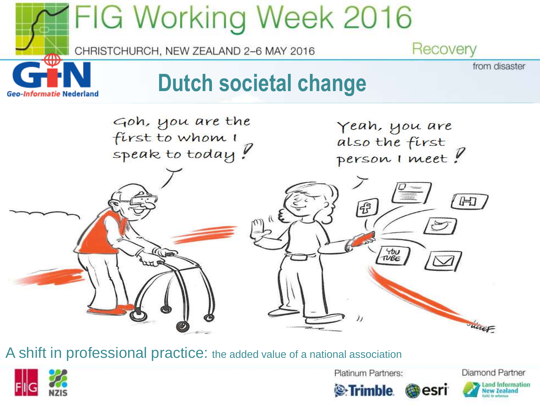



Platinum Partners:

Diamond Partner





esri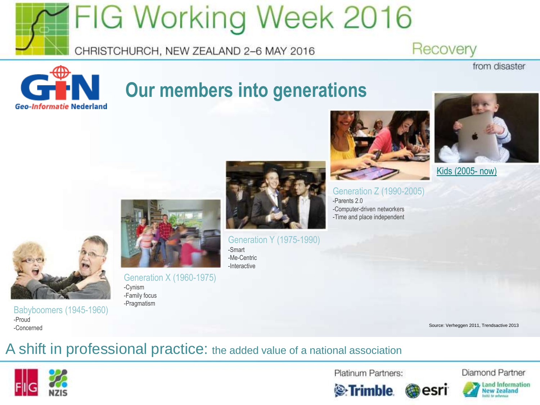

#### CHRISTCHURCH, NEW ZEALAND 2-6 MAY 2016



### **Our members into generations**





from disaster

[Kids \(2005-](https://youtu.be/DHCxsPeLyQk) [now\)](https://youtu.be/DHCxsPeLyQk) 



Generation X (1960-1975) -Cynism -Family focus -Pragmatism



Generation Y (1975-1990)



Generation Z (1990-2005) -Parents 2.0 -Computer-driven networkers -Time and place independent

-Smart -Me-Centric -Interactive

Source: Verheggen 2011, Trendsactive 2013

#### A shift in professional practice: the added value of a national association



-Proud -Concerned

Babyboomers (1945-1960)

Platinum Partners:



Diamond Partner





Land Information **New Zealand**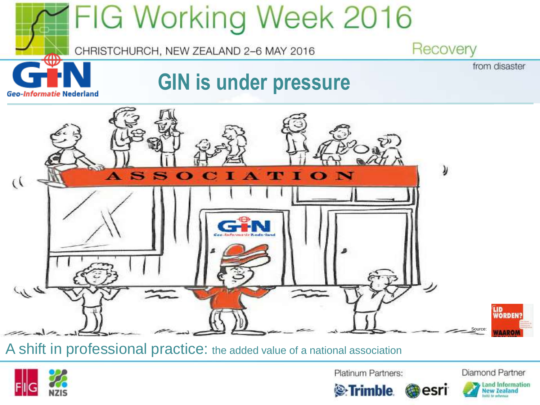



Platinum Partners:

**E**-Trimble

Diamond Partner



**esri** 

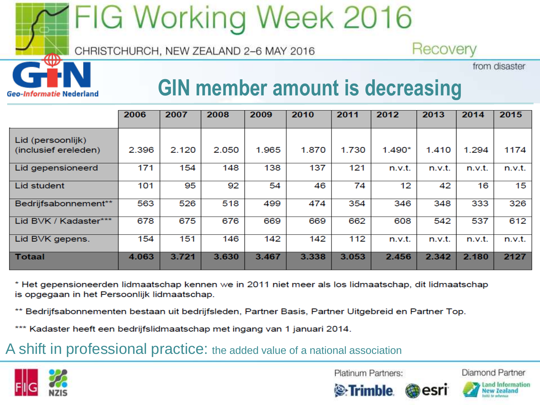## FIG Working Week 2016

CHRISTCHURCH, NEW ZEALAND 2-6 MAY 2016

from disaster **GIN member amount is decreasing**

Recovery

|                       | 2006  | 2007  | 2008  | 2009  | 2010  | 2011  | 2012     | 2013   | 2014   | 2015   |
|-----------------------|-------|-------|-------|-------|-------|-------|----------|--------|--------|--------|
|                       |       |       |       |       |       |       |          |        |        |        |
| Lid (persoonlijk)     |       |       |       |       |       |       |          |        |        |        |
| (inclusief ereleden)  | 2.396 | 2.120 | 2.050 | 1.965 | 1.870 | 1.730 | $1.490*$ | 1.410  | 1.294  | 1174   |
| Lid gepensioneerd     | 171   | 154   | 148   | 138   | 137   | 121   | n.v.t.   | n.v.t. | n.v.t. | n.v.t. |
| Lid student           | 101   | 95    | 92    | 54    | 46    | 74    | 12       | 42     | 16     | 15     |
| Bedrijfsabonnement**  | 563   | 526   | 518   | 499   | 474   | 354   | 346      | 348    | 333    | 326    |
| Lid BVK / Kadaster*** | 678   | 675   | 676   | 669   | 669   | 662   | 608      | 542    | 537    | 612    |
| Lid BVK gepens.       | 154   | 151   | 146   | 142   | 142   | 112   | n.v.t.   | n.v.t. | n.v.t. | n.v.t. |
| <b>Totaal</b>         | 4.063 | 3.721 | 3.630 | 3.467 | 3.338 | 3.053 | 2.456    | 2.342  | 2.180  | 2127   |

\* Het gepensioneerden lidmaatschap kennen we in 2011 niet meer als los lidmaatschap, dit lidmaatschap is opgegaan in het Persoonlijk lidmaatschap.

\*\* Bedrijfsabonnementen bestaan uit bedrijfsleden, Partner Basis, Partner Uitgebreid en Partner Top.

\*\*\* Kadaster heeft een bedrijfslidmaatschap met ingang van 1 januari 2014.

A shift in professional practice: the added value of a national association



Platinum Partners:





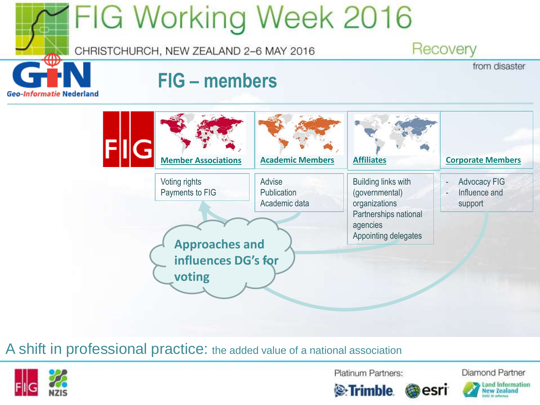



Platinum Partners:

Diamond Partner





esri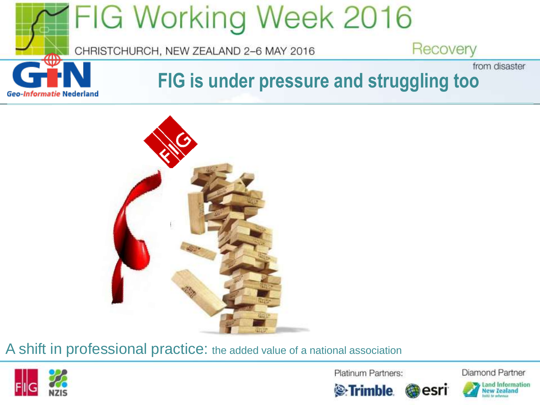





Platinum Partners:

**Extrimble** 

Diamond Partner



Land Information ew **Zealand**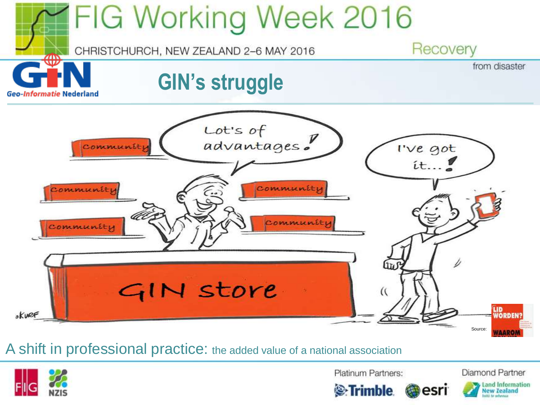



Platinum Partners:

Diamond Partner





esri

Land Information **Jew Zealand**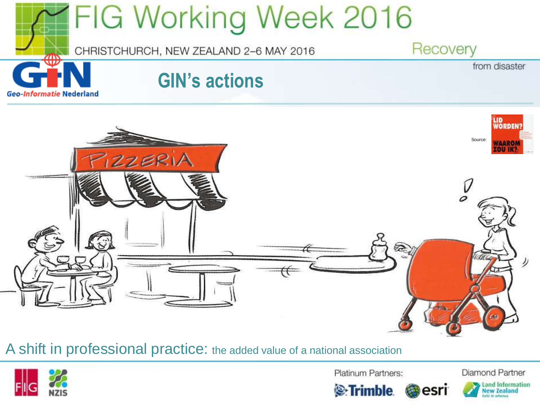



Platinum Partners:

**Extrimble.** 

Diamond Partner

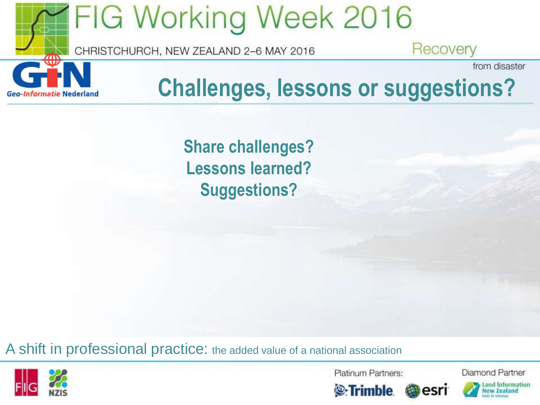

**Share challenges? Lessons learned? Suggestions?**

A shift in professional practice: the added value of a national association



Platinum Partners:

Diamond Partner





esri

Land Information ew **Zealand**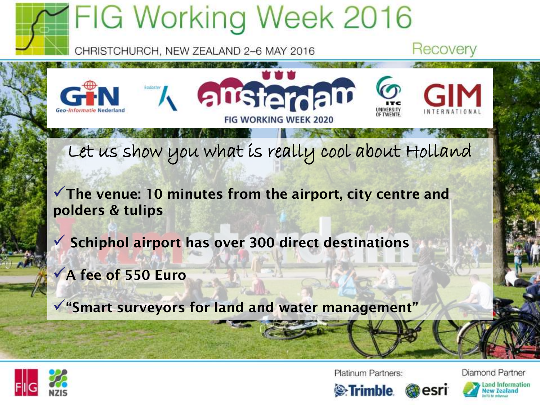



Platinum Partners:

Diamond Partner

ew **Zealand** 



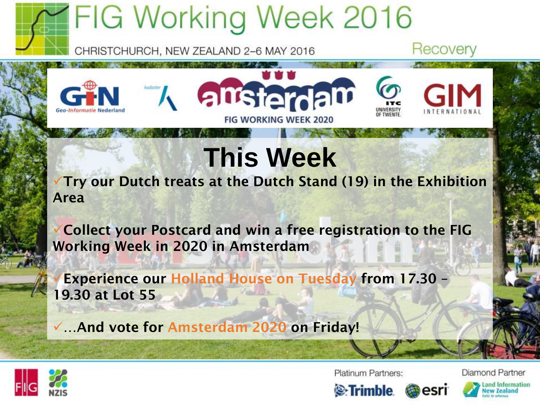# **IFIG Working Week 2016**



Recovery



### **This Week**

**Try our Dutch treats at the Dutch Stand (19) in the Exhibition Area**

**Collect your Postcard and win a free registration to the FIG Working Week in 2020 in Amsterdam**

**Experience our Holland House on Tuesday from 17.30 – 19.30 at Lot 55**

**…And vote for Amsterdam 2020 on Friday!**



Platinum Partners:

Diamond Partner

ew **Zealand**